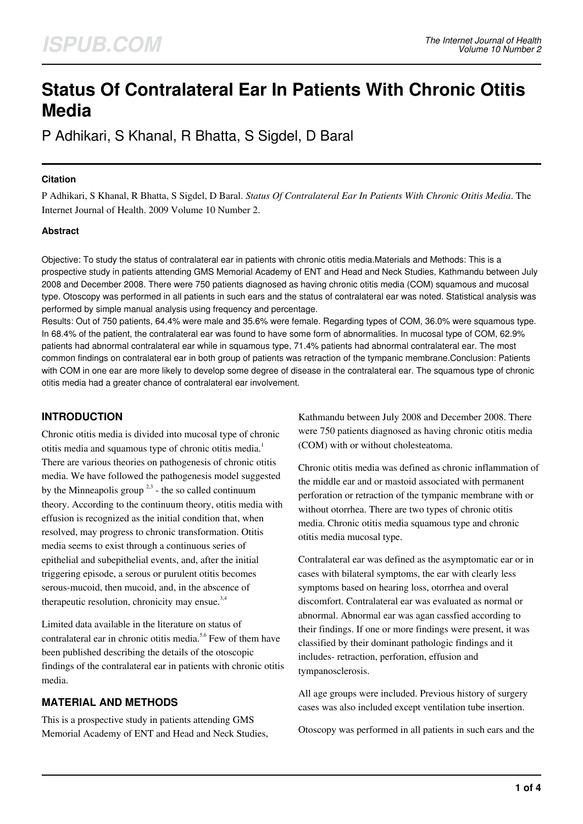# **Status Of Contralateral Ear In Patients With Chronic Otitis Media**

P Adhikari, S Khanal, R Bhatta, S Sigdel, D Baral

### **Citation**

P Adhikari, S Khanal, R Bhatta, S Sigdel, D Baral. *Status Of Contralateral Ear In Patients With Chronic Otitis Media*. The Internet Journal of Health. 2009 Volume 10 Number 2.

## **Abstract**

Objective: To study the status of contralateral ear in patients with chronic otitis media.Materials and Methods: This is a prospective study in patients attending GMS Memorial Academy of ENT and Head and Neck Studies, Kathmandu between July 2008 and December 2008. There were 750 patients diagnosed as having chronic otitis media (COM) squamous and mucosal type. Otoscopy was performed in all patients in such ears and the status of contralateral ear was noted. Statistical analysis was performed by simple manual analysis using frequency and percentage.

Results: Out of 750 patients, 64.4% were male and 35.6% were female. Regarding types of COM, 36.0% were squamous type. In 68.4% of the patient, the contralateral ear was found to have some form of abnormalities. In mucosal type of COM, 62.9% patients had abnormal contralateral ear while in squamous type, 71.4% patients had abnormal contralateral ear. The most common findings on contralateral ear in both group of patients was retraction of the tympanic membrane.Conclusion: Patients with COM in one ear are more likely to develop some degree of disease in the contralateral ear. The squamous type of chronic otitis media had a greater chance of contralateral ear involvement.

# **INTRODUCTION**

Chronic otitis media is divided into mucosal type of chronic otitis media and squamous type of chronic otitis media.<sup>1</sup> There are various theories on pathogenesis of chronic otitis media. We have followed the pathogenesis model suggested by the Minneapolis group  $2,3$  - the so called continuum theory. According to the continuum theory, otitis media with effusion is recognized as the initial condition that, when resolved, may progress to chronic transformation. Otitis media seems to exist through a continuous series of epithelial and subepithelial events, and, after the initial triggering episode, a serous or purulent otitis becomes serous-mucoid, then mucoid, and, in the abscence of therapeutic resolution, chronicity may ensue. $3,4$ 

Limited data available in the literature on status of contralateral ear in chronic otitis media.<sup>5,6</sup> Few of them have been published describing the details of the otoscopic findings of the contralateral ear in patients with chronic otitis media.

# **MATERIAL AND METHODS**

This is a prospective study in patients attending GMS Memorial Academy of ENT and Head and Neck Studies,

Kathmandu between July 2008 and December 2008. There were 750 patients diagnosed as having chronic otitis media (COM) with or without cholesteatoma.

Chronic otitis media was defined as chronic inflammation of the middle ear and or mastoid associated with permanent perforation or retraction of the tympanic membrane with or without otorrhea. There are two types of chronic otitis media. Chronic otitis media squamous type and chronic otitis media mucosal type.

Contralateral ear was defined as the asymptomatic ear or in cases with bilateral symptoms, the ear with clearly less symptoms based on hearing loss, otorrhea and overal discomfort. Contralateral ear was evaluated as normal or abnormal. Abnormal ear was agan cassfied according to their findings. If one or more findings were present, it was classified by their dominant pathologic findings and it includes- retraction, perforation, effusion and tympanosclerosis.

All age groups were included. Previous history of surgery cases was also included except ventilation tube insertion.

Otoscopy was performed in all patients in such ears and the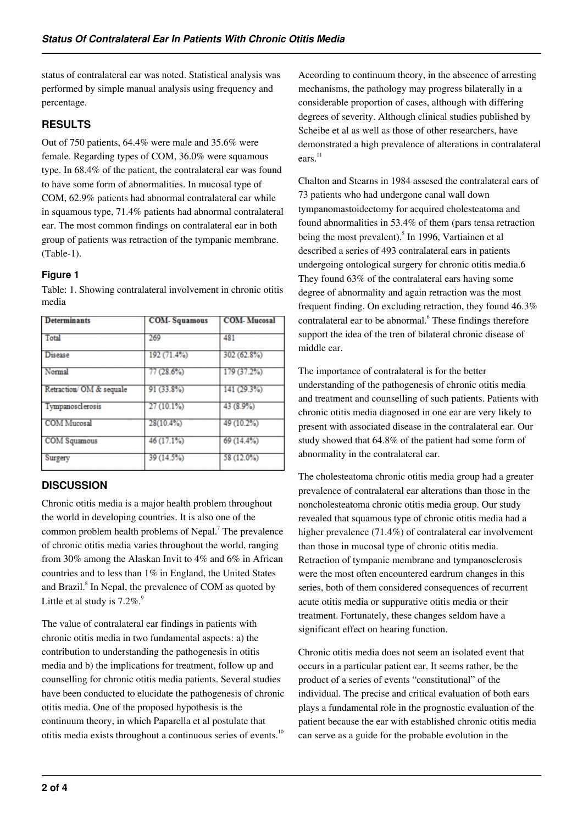status of contralateral ear was noted. Statistical analysis was performed by simple manual analysis using frequency and percentage.

# **RESULTS**

Out of 750 patients, 64.4% were male and 35.6% were female. Regarding types of COM, 36.0% were squamous type. In 68.4% of the patient, the contralateral ear was found to have some form of abnormalities. In mucosal type of COM, 62.9% patients had abnormal contralateral ear while in squamous type, 71.4% patients had abnormal contralateral ear. The most common findings on contralateral ear in both group of patients was retraction of the tympanic membrane. (Table-1).

## **Figure 1**

Table: 1. Showing contralateral involvement in chronic otitis media

| <b>Determinants</b>     | <b>COM-Squamous</b> | <b>COM-Mucosal</b> |
|-------------------------|---------------------|--------------------|
| Total                   | 269                 | 481                |
| <b>Disease</b>          | 192 (71.4%)         | 302 (62.8%)        |
| Normal                  | 77(28.6%)           | 179 (37.2%)        |
| Retraction/OM & sequale | 91 (33.8%)          | 141 (29.3%)        |
| Tympanosclerosis        | 27(10.1%)           | 43 (8.9%)          |
| <b>COM</b> Mucosal      | 28(10.4%)           | 49 (10.2%)         |
| <b>COM</b> Squamous     | 46 (17.1%)          | 69 (14.4%)         |
| Surgery                 | 39 (14.5%)          | 58 (12.0%)         |

# **DISCUSSION**

Chronic otitis media is a major health problem throughout the world in developing countries. It is also one of the common problem health problems of Nepal.<sup>7</sup> The prevalence of chronic otitis media varies throughout the world, ranging from 30% among the Alaskan Invit to 4% and 6% in African countries and to less than 1% in England, the United States and Brazil.<sup>8</sup> In Nepal, the prevalence of COM as quoted by Little et al study is  $7.2\%$ .<sup>9</sup>

The value of contralateral ear findings in patients with chronic otitis media in two fundamental aspects: a) the contribution to understanding the pathogenesis in otitis media and b) the implications for treatment, follow up and counselling for chronic otitis media patients. Several studies have been conducted to elucidate the pathogenesis of chronic otitis media. One of the proposed hypothesis is the continuum theory, in which Paparella et al postulate that otitis media exists throughout a continuous series of events.<sup>10</sup>

According to continuum theory, in the abscence of arresting mechanisms, the pathology may progress bilaterally in a considerable proportion of cases, although with differing degrees of severity. Although clinical studies published by Scheibe et al as well as those of other researchers, have demonstrated a high prevalence of alterations in contralateral ears. 11

Chalton and Stearns in 1984 assesed the contralateral ears of 73 patients who had undergone canal wall down tympanomastoidectomy for acquired cholesteatoma and found abnormalities in 53.4% of them (pars tensa retraction being the most prevalent).<sup>5</sup> In 1996, Vartiainen et al described a series of 493 contralateral ears in patients undergoing ontological surgery for chronic otitis media.6 They found 63% of the contralateral ears having some degree of abnormality and again retraction was the most frequent finding. On excluding retraction, they found 46.3% contralateral ear to be abnormal.<sup>6</sup> These findings therefore support the idea of the tren of bilateral chronic disease of middle ear.

The importance of contralateral is for the better understanding of the pathogenesis of chronic otitis media and treatment and counselling of such patients. Patients with chronic otitis media diagnosed in one ear are very likely to present with associated disease in the contralateral ear. Our study showed that 64.8% of the patient had some form of abnormality in the contralateral ear.

The cholesteatoma chronic otitis media group had a greater prevalence of contralateral ear alterations than those in the noncholesteatoma chronic otitis media group. Our study revealed that squamous type of chronic otitis media had a higher prevalence (71.4%) of contralateral ear involvement than those in mucosal type of chronic otitis media. Retraction of tympanic membrane and tympanosclerosis were the most often encountered eardrum changes in this series, both of them considered consequences of recurrent acute otitis media or suppurative otitis media or their treatment. Fortunately, these changes seldom have a significant effect on hearing function.

Chronic otitis media does not seem an isolated event that occurs in a particular patient ear. It seems rather, be the product of a series of events "constitutional" of the individual. The precise and critical evaluation of both ears plays a fundamental role in the prognostic evaluation of the patient because the ear with established chronic otitis media can serve as a guide for the probable evolution in the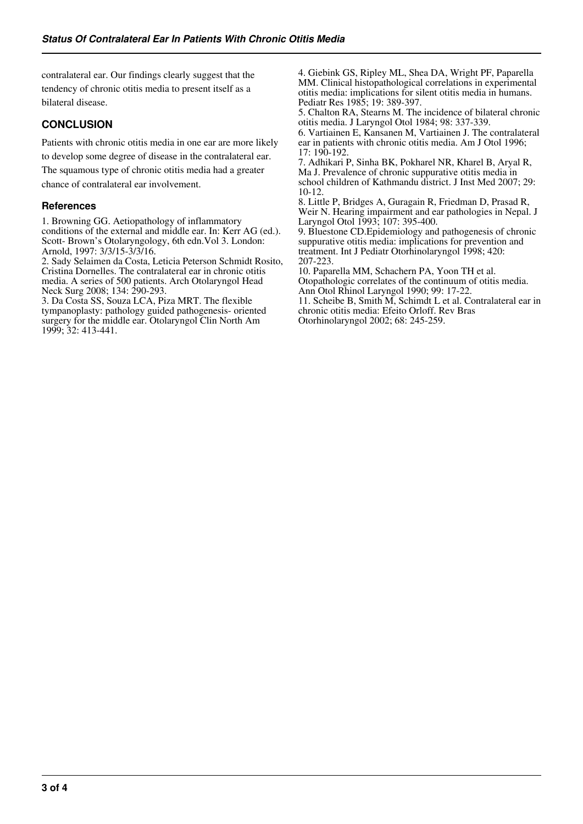contralateral ear. Our findings clearly suggest that the tendency of chronic otitis media to present itself as a bilateral disease.

## **CONCLUSION**

Patients with chronic otitis media in one ear are more likely to develop some degree of disease in the contralateral ear. The squamous type of chronic otitis media had a greater chance of contralateral ear involvement.

#### **References**

1. Browning GG. Aetiopathology of inflammatory conditions of the external and middle ear. In: Kerr AG (ed.). Scott- Brown's Otolaryngology, 6th edn.Vol 3. London: Arnold, 1997: 3/3/15-3/3/16.

2. Sady Selaimen da Costa, Leticia Peterson Schmidt Rosito, Cristina Dornelles. The contralateral ear in chronic otitis media. A series of 500 patients. Arch Otolaryngol Head Neck Surg 2008; 134: 290-293.

3. Da Costa SS, Souza LCA, Piza MRT. The flexible tympanoplasty: pathology guided pathogenesis- oriented surgery for the middle ear. Otolaryngol Clin North Am 1999; 32: 413-441.

4. Giebink GS, Ripley ML, Shea DA, Wright PF, Paparella MM. Clinical histopathological correlations in experimental otitis media: implications for silent otitis media in humans. Pediatr Res 1985; 19: 389-397.

5. Chalton RA, Stearns M. The incidence of bilateral chronic otitis media. J Laryngol Otol 1984; 98: 337-339.

6. Vartiainen E, Kansanen M, Vartiainen J. The contralateral ear in patients with chronic otitis media. Am J Otol 1996; 17: 190-192.

7. Adhikari P, Sinha BK, Pokharel NR, Kharel B, Aryal R, Ma J. Prevalence of chronic suppurative otitis media in school children of Kathmandu district. J Inst Med 2007; 29: 10-12.

8. Little P, Bridges A, Guragain R, Friedman D, Prasad R, Weir N. Hearing impairment and ear pathologies in Nepal. J Laryngol Otol 1993; 107: 395-400.

9. Bluestone CD.Epidemiology and pathogenesis of chronic suppurative otitis media: implications for prevention and treatment. Int J Pediatr Otorhinolaryngol 1998; 420: 207-223.

10. Paparella MM, Schachern PA, Yoon TH et al. Otopathologic correlates of the continuum of otitis media. Ann Otol Rhinol Laryngol 1990; 99: 17-22.

11. Scheibe B, Smith M, Schimdt L et al. Contralateral ear in chronic otitis media: Efeito Orloff. Rev Bras Otorhinolaryngol 2002; 68: 245-259.